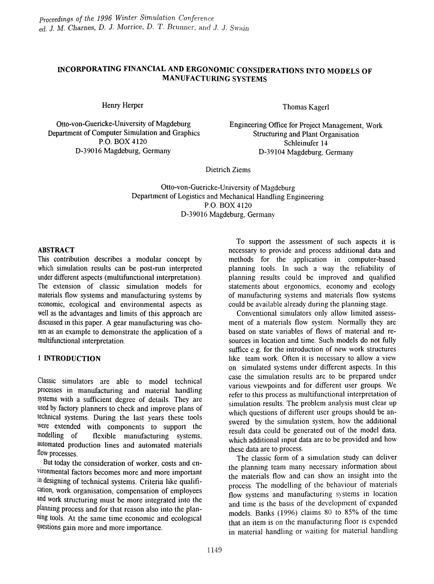# INCORPORATING FINANCIAL AND ERGONOMIC CONSIDERATIONS INTO MODELS OF MANUFACTURING SYSTEMS

Henry Herper

Otto-von-Guericke-University of Magdeburg Department of Computer Simulation and Graphics P.O. BOX 4120 D-39016 Magdeburg, Germany

Thomas Kagerl

Engineering Office for Project Management, Work Structuring and Plant Organisation Schleinufer 14 D-39104 Magdeburg, Germany

Dietrich Ziems

Otto-von-Guericke-University of Magdeburg Department of Logistics and Mechanical Handling Engineering P.O. BOX 4120 D-39016 Magdeburg, Germany

#### ABSTRACT

This contribution describes a modular concept by which simulation results can be post-run interpreted under different aspects (multifunctional interpretation). The extension of classic simulation models for materials flow systems and manufacturing systems by economic, ecological and environmental aspects as well as the advantages and limits of this approach are discussed in this paper. A gear manufacturing was chosen as an example to demonstrate the application of a multifunctional interpretation.

## 1 INTRODUCTION

Classic simulators are able to model technical processes in manufacturing and material handling systems with a sufficient degree of details. They are used by factory planners to check and improve plans of technical systems. During the last years these tools were extended with components to support the modelling of flexible manufacturing systems, flexible manufacturing systems, automated production lines and automated materials flow processes.

But today the consideration of worker, costs and environmental factors becomes more and more important in designing of technical systems. Criteria like qualification, work organisation, compensation of employees and work structuring must be more integrated into the planning process and for that reason also into the planning tools. At the same time economic and ecological questions gain more and more importance.

To support the assessment of such aspects it is necessary to provide and process additional data and methods for the application in computer-based planning tools. In such a way the reliability of planning results could be improved and qualified statements about ergonomics, economy and ecology of manufacturing systems and materials flow systems could be available already during the planning stage.

Conventional simulators only allo\v limited assessment of a materials flow system. Normally they are based on state variables of flows of material and resources in location and time. Such models do not fully suffice e.g. for the introduction of new work structures like team work. Often it is necessary to allow a view on simulated systems under different aspects. In this case the simulation results are to be prepared under various viewpoints and for different user groups. We refer to this process as multifunctional interpretation of simulation results. The problem analysis must clear up which questions of different user groups should be answered by the simulation system, how the additional result data could be generated out of the model data, which additional input data are to be provided and how these data are to process.

The classic form of a simulation study can deliver the planning team many necessary information about the materials flow and can show an insight into the process. The modelling of the behaviour of materials flow systems and manufacturing systems in location and time is the basis of the development of expanded models. Banks (1996) claims 80 to 85% of the time that an item is on the manufacturing floor is expended in material handling or waiting for material handling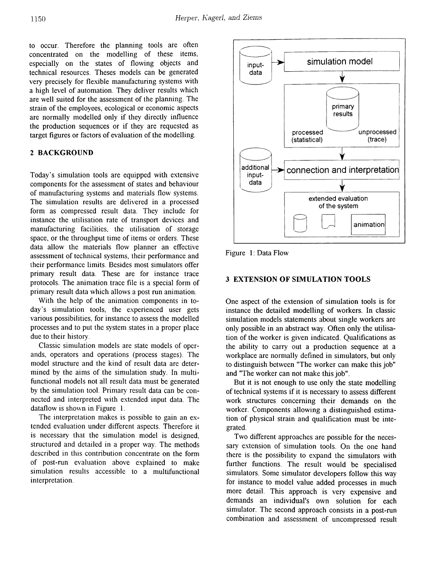to occur. Therefore the planning tools are often concentrated on the modelling of these items, especially on the states of flowing objects and technical resources. Theses models can be generated very precisely for flexible manufacturing systems \vith a high level of automation. They deliver results which are well suited for the assessment of the planning. The strain of the employees, ecological or economic aspects are normally modelled only if they directly influence the production sequences or if they are requested as target figures or factors of evaluation of the modelling. processed

## 2 BACKGROUND

Today's simulation tools are equipped with extensive components for the assessment of states and behaviour of manufacturing systems and materials flow systems. The simulation results are delivered in a processed form as compressed result data. They include for instance the utilisation rate of transport devices and manufacturing facilities, the utilisation of storage space, or the throughput time of items or orders. These data allow the materials flow planner an effective assessment of technical systems, their performance and their performance limits. Besides most simulators offer primary result data. These are for instance trace protocols. The animation trace file is a special form of primary result data which allows a post run animation.

With the help of the animation components in today's simulation tools, the experienced user gets various possibilities, for instance to assess the modelled processes and to put the system states in a proper place due to their history.

Classic simulation models are state models of operands, operators and operations (process stages). The model structure and the kind of result data are determined by the aims of the simulation study. In multifunctional models not all result data must be generated by the simulation tool. Primary result data can be connected and interpreted with extended input data. The  $dataflow$  is shown in Figure 1.

The interpretation makes is possible to gain an extended evaluation under different aspects. Therefore it is necessary that the simulation model is designed, structured and detailed in a proper way. The methods described in this contribution concentrate on the form of post-run evaluation above explained to make simulation results accessible to a multifunctional interpretation.



Figure 1: Data Flow

## 3 EXTENSION OF SIMULATION TOOLS

One aspect of the extension of simulation tools is for instance the detailed modelling of workers. In classic simulation models statements about single workers are only possible in an abstract way. Often only the utilisation of the worker is given indicated. Qualifications as the ability to carry out a production sequence at a workplace are normally defined in simulators, but only to distinguish between "The worker can make this job" and "The worker can not make this job".

But it is not enough to use only the state modelling of technical systems if it is necessary to assess different work structures concerning their demands on the worker. Components allowing a distinguished estimation of physical strain and qualification must be integrated.

Two different approaches are possible for the necessary extension of simulation tools. On the one hand there is the possibility to expand the simulators with further functions. The result would be specialised simulators. Some simulator developers follow this way for instance to model value added processes in much more detail. This approach is very expensive and demands an individual's own solution for each simulator. The second approach consists in a post-run combination and assessment of uncompressed result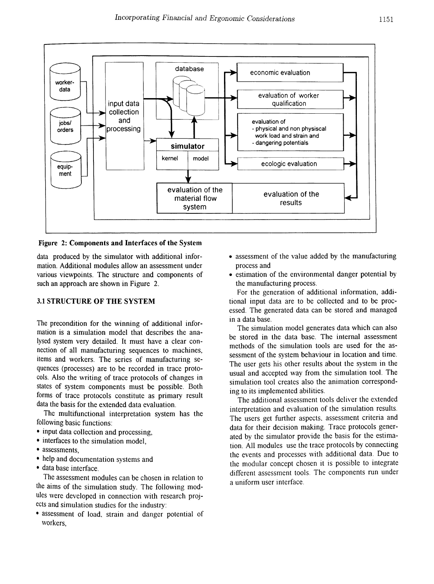

Figure 2: Components and Interfaces of the System

data produced by the simulator with additional information. Additional modules allow an assessment under various viewpoints. The structure and components of such an approach are shown in Figure 2.

#### 3.1 STRUCTURE OF THE SYSTEM

The precondition for the winning of additional information is a simulation model that describes the analysed system very detailed. It must have a clear connection of all manufacturing sequences to machines, items and workers. The series of manufacturing sequences (processes) are to be recorded in trace protocols. Also the writing of trace protocols of changes in states of system components must be possible. Both forms of trace protocols constitute as primary result data the basis for the extended data evaluation.

The multifunctional interpretation system has the following basic functions:

- input data collection and processing,
- interfaces to the simulation model,
- assessments,
- help and documentation systems and
- data base interface.

The assessment modules can be chosen in relation to the aims of the simulation study. The following mod*ules* \vere developed in connection \vith research projects and simulation studies for the industry:

• assessment of load, strain and danger potential of \vorkers,

- assessment of the value added by the manufacturing process and .
- estimation of the environmental danger potential by the manufacturing process.

For the generation of additional information, additional input data are to be collected and to be processed. The generated data can be stored and managed in a data base.

The simulation model generates data which can also be stored in the data base. The internal assessment methods of the simulation tools are used for the assessment of the system behaviour in location and time. The user gets his other results about the system in the usual and accepted way from the simulation tool. The simulation tool creates also the animation corresponding to its implemented abilities.

The additional assessment tools deliver the exiended interpretation and evaluation of the simulation results. The users get further aspects, assessment criteria and data for their decision making. Trace protocols generated by the simulator provide the basis for the estimation. All modules use the trace protocols by connecting the events and processes \vith additional data. Due to the modular concept chosen it is possible to integrate different assessment tools. The components run under a uniform user interface.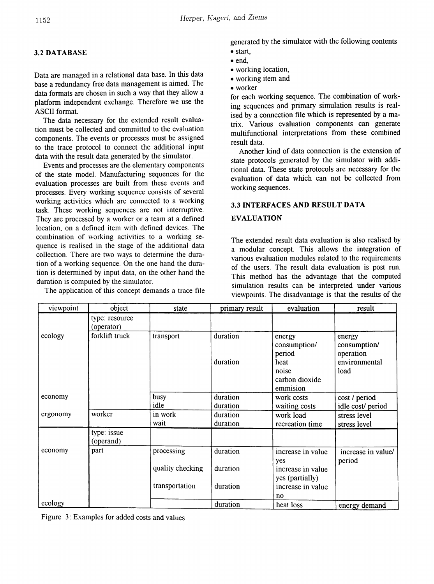## 3.2 DATABASE

Data are managed in a relational data base. In this data base a redundancy free data management is aimed. The data formats are chosen in such a way that they allow a platform independent exchange. Therefore we use the ASCII format.

The data necessary for the extended result evaluation must be collected and committed to the evaluation components. The events or processes must be assigned to the trace protocol to connect the additional input data with the result data generated by the simulator.

Events and processes are the elementary components of the state model. Manufacturing sequences for the evaluation processes are built from these events and processes. Every working sequence consists of several working activities which are connected to a working task. These working sequences are not interruptive. They are processed by a worker or a team at a defined location, on a defined item with defined devices. The combination of working activities to a working sequence is realised in the stage of the additional data collection. There are two ways to determine the duration of a working sequence. On the one hand the duration is determined by input data, on the other hand the duration is computed by the simulator.

The application of this concept demands a trace file

generated by the simulator with the following contents

- start, • end,
- working location,
- working item and
- worker

for each working sequence. The combination of working sequences and primary simulation results is realised by a connection file which is represented by a matrix. Various evaluation components can generate multifunctional interpretations from these combined result data.

Another kind of data connection is the extension of state protocols generated by the simulator with additional data. These state protocols are necessary for the evaluation of data which can not be collected from working sequences.

## 3.3 INTERFACES AND RESULT DATA

## EVALUATION

The extended result data evaluation is also realised by a modular concept. This allows the integration of various evaluation modules related to the requirements of the users. The result data evaluation is post run. This method has the advantage that the computed simulation results can be interpreted under various viewpoints. The disadvantage is that the results of the

| viewpoint | object                       | state                          | primary result       | evaluation                                                                      | result                                                       |
|-----------|------------------------------|--------------------------------|----------------------|---------------------------------------------------------------------------------|--------------------------------------------------------------|
|           | type: resource<br>(operator) |                                |                      |                                                                                 |                                                              |
| ecology   | forklift truck               | transport                      | duration<br>duration | energy<br>consumption/<br>period<br>heat<br>noise<br>carbon dioxide<br>emmision | energy<br>consumption/<br>operation<br>environmental<br>load |
| economy   |                              | busy<br>idle                   | duration<br>duration | work costs<br>waiting costs                                                     | cost / period<br>idle cost/period                            |
| ergonomy  | worker                       | in work<br>wait                | duration<br>duration | work load<br>recreation time                                                    | stress level<br>stress level                                 |
|           | type: issue<br>(operand)     |                                |                      |                                                                                 |                                                              |
| economy   | part                         | processing<br>quality checking | duration<br>duration | increase in value<br>yes<br>increase in value                                   | increase in value/<br>period                                 |
|           |                              | transportation                 | duration             | yes (partially)<br>increase in value<br>no                                      |                                                              |
| ecology   |                              |                                | duration             | heat loss                                                                       | energy demand                                                |

Figure 3: Examples for added costs and values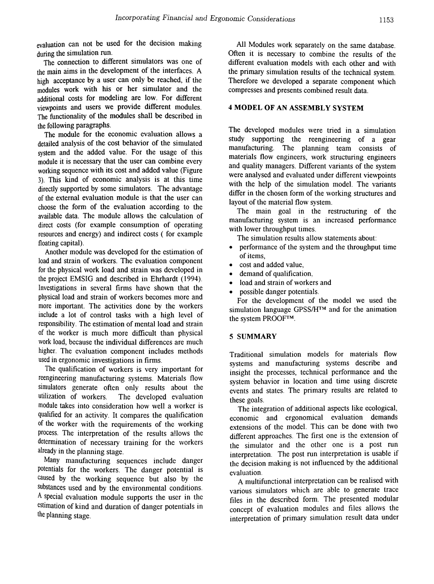evaluation can not be used for the decision making during the simulation run.

The connection to different simulators was one of the main aims in the development of the interfaces. A high acceptance by a user can only be reached, if the modules work with his or her simulator and the additional costs for modeling are low. For different viewpoints and users we provide different modules. The functionality of the modules shall be described in the following paragraphs.

The module for the economic evaluation allows a detailed analysis of the cost behavior of the simulated system and the added value. For the usage of this module it is necessary that the user can combine every working sequence with its cost and added value (Figure 3). This kind of economic analysis is at this time directly supported by some simulators. The advantage of the external evaluation module is that the user can choose the form of the evaluation according to the available data. The module allows the calculation of direct costs (for example consumption of operating resources and energy) and indirect costs ( for example floating capital).

Another module was developed for the estimation of load and strain of workers. The evaluation component for the physical work load and strain was developed in the project EMSIG and described in Ehrhardt (1994). Investigations in several firms have shown that the physical load and strain of workers becomes more and more important. The activities done by the workers include a lot of control tasks with a high level of responsibility. The estimation of mental load and strain of the worker is much more difficult than physical work load, because the individual differences are much higher. The evaluation component includes methods used in ergonomic investigations in firms.

The qualification of workers is very important for reengineering manufacturing systems. Materials flow simulators generate often only results about the utilization of workers. The developed evaluation module takes into consideration how well a worker is qualified for an activity. It compares the qualification of the worker with the requirements of the working process. The interpretation of the results allows the determination of necessary training for the workers already in the planning stage.

Many manufacturing sequences include danger potentials for the workers. The danger potential is caused by the working sequence but also by the substances used and by the environmental conditions. Aspecial evaluation module supports the user in the estimation of kind and duration of danger potentials in the planning stage.

All Modules work separately on the same database. Often it is necessary to combine the results of the different evaluation models with each other and with the primary simulation results of the technical system. Therefore we developed a separate component which compresses and presents combined result data.

#### 4 MODEL OF AN ASSEMBLY SYSTEM

The developed modules were tried in a simulation study supporting the reengineering of a gear manufacturing. The planning team consists of materials flow engineers, work structuring engineers and quality managers. Different variants of the system were analysed and evaluated under different viewpoints with the help of the simulation model. The variants differ in the chosen form of the working structures and layout of the material flow system.

The main goal in the restructuring of the manufacturing system is an increased performance with lower throughput times.

The simulation results allow statements about:

- performance of the system and the throughput time of items,
- cost and added value,
- demand of qualification,
- load and strain of workers and
- possible danger potentials.

For the development of the model we used the simulation language GPSS/H<sup>TM</sup> and for the animation the system PROOFTM.

#### 5 SUMMARY

Traditional simulation models for materials flow systems and manufacturing systems describe and insight the processes, technical performance and the system behavior in location and time using discrete events and states. The primary results are related to these goals.

The integration of additional aspects like ecological, economic and ergonomical evaluation demands extensions of the model. This can be done with two different approaches. The first one is the extension of the simulator and the other one is a post run interpretation. The post run interpretation is usable if the decision making is not influenced by the additional evaluation.

A multifunctional interpretation can be realised with various simulators which are able to generate trace files in the described form. The presented modular concept of evaluation modules and files allows the interpretation of primary simulation result data under